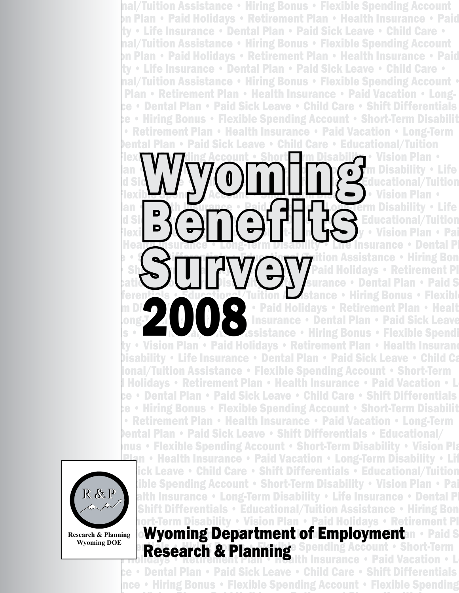nal/Tuition Assistance • Hiring Bonus • Flexible Spending Account **Din Plan • Paid Holidays • Retirement Plan • Health Insurance • Paid •** ty • Life Insurance • Dental Plan • Paid Sick Leave • Child Care • nal/Tuition Assistance • Hiring Bonus • Flexible Spending Account **Din Plan • Paid Holidays • Retirement Plan • Health Insurance • Paid •** ty • Life Insurance • Dental Plan • Paid Sick Leave • Child Care • nal/Tuition Assistance • Hiring Bonus • Flexible Spending Account • Plan • Retirement Plan • Health Insurance • Paid Vacation • Longce • Dental Plan • Paid Sick Leave • Child Care • Shift Differentials  $\mathbf{c}\mathbf{e}$  • Hiring Bonus • Flexible Spending Account • Short-Term Disabilit • Retirement Plan • Health Insurance • Paid Vacation • Long-Term Dental Plan • Paid Sick Leave • Child Care • Educational/Tuition Account • Short Trm Disability • Vision Plan • Paid Holidays • Retirement Plan • Health Insurance • Paid Vacation • Long-Term Disability • Life Insurance • Dental Plan • Paid Sick Leave • Child Care • Shift Differentials • Educational/Tuition **Vision Plan •**  $\mathsf{P}(\mathsf{P}) \cap \mathsf{P}(\mathsf{P}) \cap \mathsf{P}(\mathsf{P})$  • Retirement  $\mathsf{P}(\mathsf{P})$  becomes bility • Life **ISLEX AMAS FLISH PLAN • Children Plan • Paid Care • Child Care • Child Care • Child Care • Child Care • Child Texible Spending Bonus • Hiring Account • Short-Term Paid • Paid • Paid • Paid • Paid • Paid • Paid • Paid • Pai** e Insurance • Dental Pl **Francisco • Paid Sick Leave • Child Care • Child Care • Shift Differential Sick Leave • Child Care • Child Care • Education Assistance • Hiring Bonus Figure 1981** • Short-Term Disability  $\mathbf{S}$   $\mathbf{A}$   $\mathbf{A}$   $\mathbf{A}$   $\mathbf{A}$   $\mathbf{A}$   $\mathbf{A}$   $\mathbf{A}$   $\mathbf{A}$   $\mathbf{A}$   $\mathbf{A}$   $\mathbf{A}$   $\mathbf{A}$   $\mathbf{A}$   $\mathbf{A}$   $\mathbf{A}$   $\mathbf{A}$   $\mathbf{A}$   $\mathbf{A}$   $\mathbf{A}$   $\math$ **surance • Dental Plan • Paid Sick Astance • Hiring Bonus • Flexibl Paid Holidays • Retirement Plan • Health** Insurance • Dental Plan • Paid Sick Leave **Assistance • Hiring Bonus • Flexible Spending Assistance • Hiring Bonus • Flexible Spendi** Account • Short-Term Disability • Vision Plan • Paid Holidays • Retirement Plan • Paid Sick Leave<br>
1999 - Contain Bonus • Flexible Spendi<br>
1999 - Vision Plan • Paid Holidays • Retirement Plan • Health Insurance<br>
1999 - Vis Disability • Life Insurance • Dental Plan • Paid Sick Leave • Child Ca ional/Tuition Assistance • Flexible Spending Account • Short-Term 1 Holidays • Retirement Plan • Health Insurance • Paid Vacation • L ce • Dental Plan • Paid Sick Leave • Child Care • Shift Differentials  $\mathbf{e}\cdot\mathbf{H}$ iring Bonus • Flexible Spending Account • Short-Term Disabilit • Retirement Plan • Health Insurance • Paid Vacation • Long-Term  $\bm{D}$ ental Plan • Paid Sick Leave • Shift Differentials • Educational/ nus • Flexible Spending Account • Short-Term Disability • Vision Pla **Plan • Health Insurance • Paid Vacation • Long-Term Disability • Lif Inck Leave • Child Care • Shift Differentials • Educational/Tuition** R&P Ible Spending Account • Short-Term Disability • Vision Plan • Paid & R&P Integrated & Register of Bondal P Wyoming Benefitte Survey



**Disability • Planning** • Plan Figure • Paid Vacation • Longce • Dental Plan • Paid Sick Leave • Child Care • Shift Differentials nce • Hiring Bonus • Flexible Spending Account • Flexible Spending

alth Insurance • Long-Term Disability • Life Insurance • Dental P **Shift Differentials • Educational/Tuition Assistance • Hiring Bon** rort-Term Disability • Vision Plan • Paid Holidays • Retirement Pl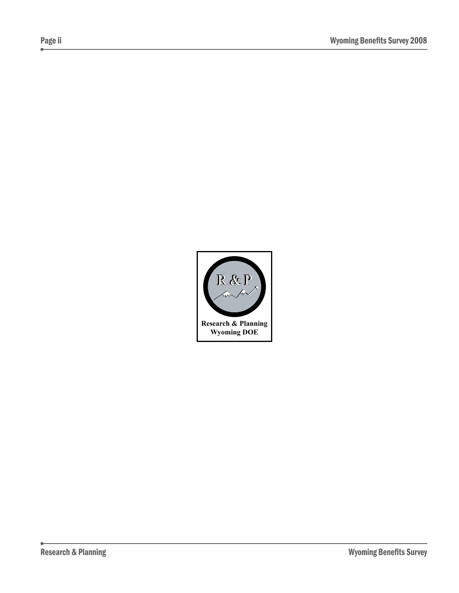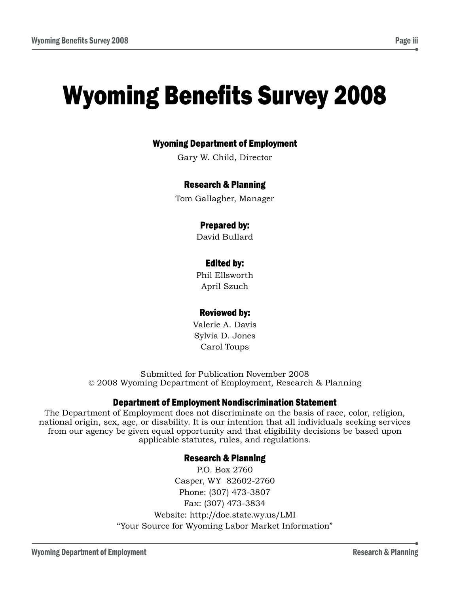## Wyoming Department of Employment

Gary W. Child, Director

#### Research & Planning

Tom Gallagher, Manager

#### Prepared by:

David Bullard

#### Edited by:

Phil Ellsworth April Szuch

#### Reviewed by:

Valerie A. Davis Sylvia D. Jones Carol Toups

Submitted for Publication November 2008 © 2008 Wyoming Department of Employment, Research & Planning

#### Department of Employment Nondiscrimination Statement

The Department of Employment does not discriminate on the basis of race, color, religion, national origin, sex, age, or disability. It is our intention that all individuals seeking services from our agency be given equal opportunity and that eligibility decisions be based upon applicable statutes, rules, and regulations.

#### Research & Planning

P.O. Box 2760 Casper, WY 82602-2760 Phone: (307) 473-3807 Fax: (307) 473-3834 Website: http://doe.state.wy.us/LMI "Your Source for Wyoming Labor Market Information"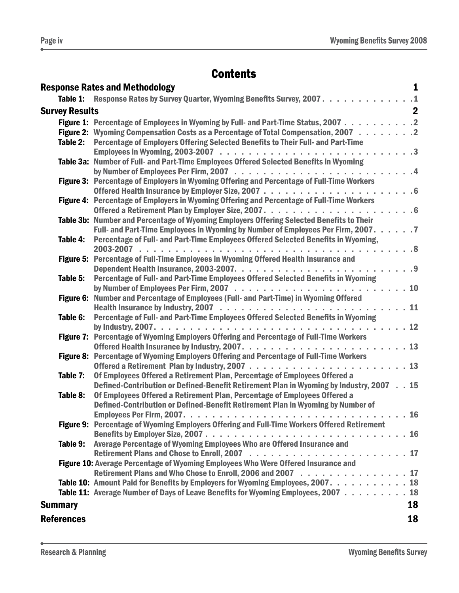# **Contents**

|                       | <b>Response Rates and Methodology</b>                                                       | 1           |
|-----------------------|---------------------------------------------------------------------------------------------|-------------|
|                       | Table 1: Response Rates by Survey Quarter, Wyoming Benefits Survey, 2007. 1                 |             |
| <b>Survey Results</b> |                                                                                             | $\mathbf 2$ |
|                       | Figure 1: Percentage of Employees in Wyoming by Full- and Part-Time Status, 2007 2          |             |
|                       | Figure 2: Wyoming Compensation Costs as a Percentage of Total Compensation, 2007 2          |             |
| Table 2:              | Percentage of Employers Offering Selected Benefits to Their Full- and Part-Time             |             |
|                       |                                                                                             |             |
|                       | Table 3a: Number of Full- and Part-Time Employees Offered Selected Benefits in Wyoming      |             |
|                       |                                                                                             |             |
|                       | Figure 3: Percentage of Employers in Wyoming Offering and Percentage of Full-Time Workers   |             |
|                       |                                                                                             |             |
|                       | Figure 4: Percentage of Employers in Wyoming Offering and Percentage of Full-Time Workers   |             |
|                       | Table 3b: Number and Percentage of Wyoming Employers Offering Selected Benefits to Their    |             |
|                       | Full- and Part-Time Employees in Wyoming by Number of Employees Per Firm, 2007. 7           |             |
| Table 4:              | Percentage of Full- and Part-Time Employees Offered Selected Benefits in Wyoming,           |             |
|                       |                                                                                             |             |
|                       | Figure 5: Percentage of Full-Time Employees in Wyoming Offered Health Insurance and         |             |
|                       |                                                                                             |             |
| Table 5:              | Percentage of Full- and Part-Time Employees Offered Selected Benefits in Wyoming            |             |
|                       |                                                                                             |             |
|                       | Figure 6: Number and Percentage of Employees (Full- and Part-Time) in Wyoming Offered       |             |
|                       |                                                                                             |             |
| Table 6:              | Percentage of Full- and Part-Time Employees Offered Selected Benefits in Wyoming            |             |
|                       | Figure 7: Percentage of Wyoming Employers Offering and Percentage of Full-Time Workers      |             |
|                       |                                                                                             |             |
|                       | Figure 8: Percentage of Wyoming Employers Offering and Percentage of Full-Time Workers      |             |
|                       |                                                                                             |             |
| Table 7:              | Of Employees Offered a Retirement Plan, Percentage of Employees Offered a                   |             |
|                       | Defined-Contribution or Defined-Benefit Retirement Plan in Wyoming by Industry, 2007 15     |             |
| Table 8:              | Of Employees Offered a Retirement Plan, Percentage of Employees Offered a                   |             |
|                       | Defined-Contribution or Defined-Benefit Retirement Plan in Wyoming by Number of             |             |
|                       |                                                                                             |             |
|                       | Figure 9: Percentage of Wyoming Employers Offering and Full-Time Workers Offered Retirement |             |
| Table 9:              |                                                                                             |             |
|                       | Average Percentage of Wyoming Employees Who are Offered Insurance and                       |             |
|                       | Figure 10: Average Percentage of Wyoming Employees Who Were Offered Insurance and           |             |
|                       | Retirement Plans and Who Chose to Enroll, 2006 and 2007 17                                  |             |
|                       | Table 10: Amount Paid for Benefits by Employers for Wyoming Employees, 2007. 18             |             |
|                       | Table 11: Average Number of Days of Leave Benefits for Wyoming Employees, 2007 18           |             |
| <b>Summary</b>        |                                                                                             | 18          |
| <b>References</b>     |                                                                                             | 18          |
|                       |                                                                                             |             |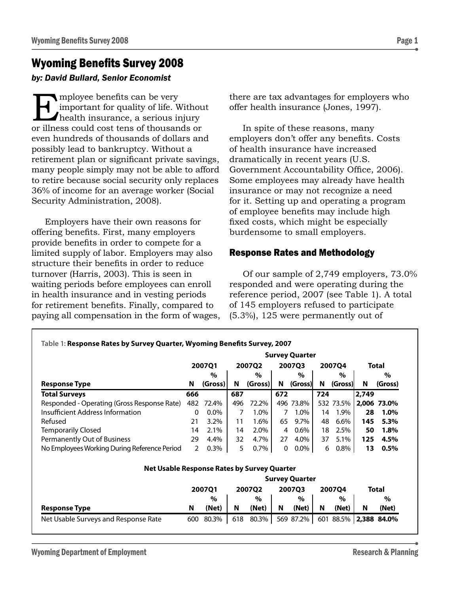## Wyoming Benefits Survey 2008

#### *by: David Bullard, Senior Economist*

Employee benefits can be very<br>important for quality of life. Whealth insurance, a serious in<br>or illness could cost tens of thousan important for quality of life. Without health insurance, a serious injury or illness could cost tens of thousands or even hundreds of thousands of dollars and possibly lead to bankruptcy. Without a retirement plan or significant private savings, many people simply may not be able to afford to retire because social security only replaces 36% of income for an average worker (Social Security Administration, 2008).

Employers have their own reasons for offering benefits. First, many employers provide benefits in order to compete for a limited supply of labor. Employers may also structure their benefits in order to reduce turnover (Harris, 2003). This is seen in waiting periods before employees can enroll in health insurance and in vesting periods for retirement benefits. Finally, compared to paying all compensation in the form of wages, there are tax advantages for employers who offer health insurance (Jones, 1997).

In spite of these reasons, many employers don't offer any benefits. Costs of health insurance have increased dramatically in recent years (U.S. Government Accountability Office, 2006). Some employees may already have health insurance or may not recognize a need for it. Setting up and operating a program of employee benefits may include high fixed costs, which might be especially burdensome to small employers.

## Response Rates and Methodology

Of our sample of 2,749 employers, 73.0% responded and were operating during the reference period, 2007 (see Table 1). A total of 145 employers refused to participate (5.3%), 125 were permanently out of

|                                                    |                       |         |     |         |     | <b>Survey Quarter</b> |     |           |       |             |
|----------------------------------------------------|-----------------------|---------|-----|---------|-----|-----------------------|-----|-----------|-------|-------------|
|                                                    |                       | 200701  |     | 200702  |     | 200703                |     | 2007Q4    |       | Total       |
|                                                    |                       | $\%$    |     | $\%$    |     | $\%$                  |     | $\%$      |       | $\%$        |
| <b>Response Type</b>                               | N                     | (Gross) | N   | (Gross) | N   | (Gross)               | N   | (Gross)   | N     | (Gross)     |
| <b>Total Surveys</b>                               | 666                   |         | 687 |         | 672 |                       | 724 |           | 2,749 |             |
| Responded - Operating (Gross Response Rate)        | 482                   | 72.4%   | 496 | 72.2%   |     | 496 73.8%             |     | 532 73.5% |       | 2,006 73.0% |
| Insufficient Address Information                   | 0                     | $0.0\%$ | 7   | 1.0%    | 7   | 1.0%                  | 14  | 1.9%      | 28    | 1.0%        |
| Refused                                            | 21                    | 3.2%    | 11  | 1.6%    | 65  | 9.7%                  | 48  | 6.6%      | 145   | 5.3%        |
| Temporarily Closed                                 | 14                    | 2.1%    | 14  | 2.0%    | 4   | $0.6\%$               | 18  | 2.5%      | 50    | 1.8%        |
| <b>Permanently Out of Business</b>                 | 29                    | 4.4%    | 32  | 4.7%    | 27  | 4.0%                  | 37  | 5.1%      | 125   | 4.5%        |
| No Employees Working During Reference Period       | 2                     | 0.3%    | 5   | $0.7\%$ | 0   | $0.0\%$               | 6   | 0.8%      | 13    | 0.5%        |
| <b>Net Usable Response Rates by Survey Quarter</b> |                       |         |     |         |     |                       |     |           |       |             |
|                                                    | <b>Survey Quarter</b> |         |     |         |     |                       |     |           |       |             |
|                                                    |                       | 200701  |     | 200702  |     | <b>2007Q3</b>         |     | 200704    |       | Total       |
|                                                    |                       | $\%$    |     | $\%$    |     | $\%$                  |     | $\%$      |       | $\%$        |
| <b>Response Type</b>                               | N                     | (Net)   | N   | (Net)   | N   | (Net)                 | N   | (Net)     | N     | (Net)       |

Net Usable Surveys and Response Rate 600 80.3% 618 80.3% 569 87.2% 601 88.5% 2.388 84.0%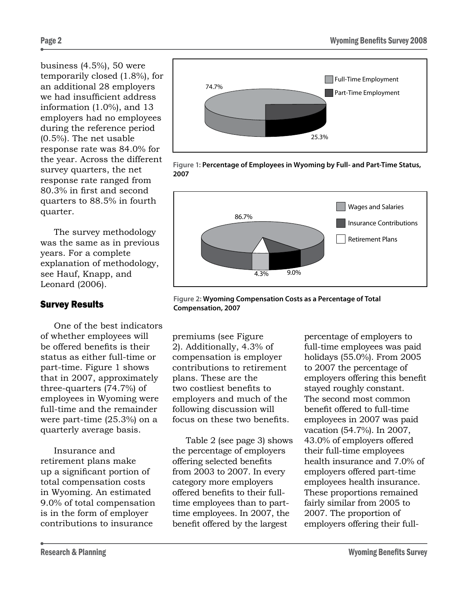business (4.5%), 50 were temporarily closed (1.8%), for an additional 28 employers we had insufficient address information (1.0%), and 13 employers had no employees during the reference period (0.5%). The net usable response rate was 84.0% for the year. Across the different survey quarters, the net response rate ranged from 80.3% in first and second quarters to 88.5% in fourth quarter.

The survey methodology was the same as in previous years. For a complete explanation of methodology, see Hauf, Knapp, and Leonard (2006).

## Survey Results

One of the best indicators of whether employees will be offered benefits is their status as either full-time or part-time. Figure 1 shows that in 2007, approximately three-quarters (74.7%) of employees in Wyoming were full-time and the remainder were part-time (25.3%) on a quarterly average basis.

Insurance and retirement plans make up a significant portion of total compensation costs in Wyoming. An estimated 9.0% of total compensation is in the form of employer contributions to insurance







**Figure 2: Wyoming Compensation Costs as a Percentage of Total Compensation, 2007**

premiums (see Figure 2). Additionally, 4.3% of compensation is employer contributions to retirement plans. These are the two costliest benefits to employers and much of the following discussion will focus on these two benefits.

Table 2 (see page 3) shows the percentage of employers offering selected benefits from 2003 to 2007. In every category more employers offered benefits to their fulltime employees than to parttime employees. In 2007, the benefit offered by the largest

percentage of employers to full-time employees was paid holidays (55.0%). From 2005 to 2007 the percentage of employers offering this benefit stayed roughly constant. The second most common benefit offered to full-time employees in 2007 was paid vacation (54.7%). In 2007, 43.0% of employers offered their full-time employees health insurance and 7.0% of employers offered part-time employees health insurance. These proportions remained fairly similar from 2005 to 2007. The proportion of employers offering their full-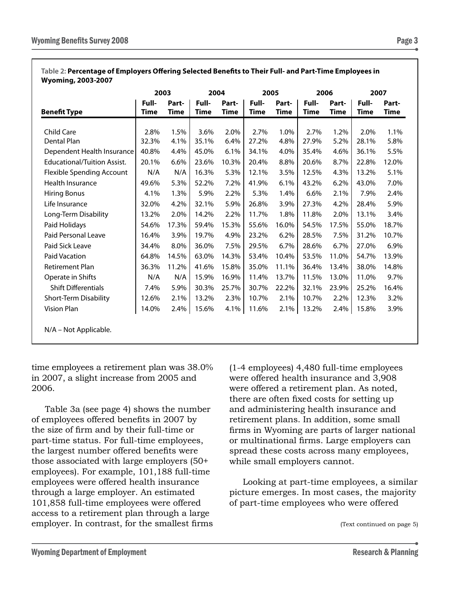|                                    | 2003                 |               | 2004          |               | 2005                 |               | 2006                 |               | 2007                 |               |
|------------------------------------|----------------------|---------------|---------------|---------------|----------------------|---------------|----------------------|---------------|----------------------|---------------|
| <b>Benefit Type</b>                | Full-<br><b>Time</b> | Part-<br>Time | Full-<br>Time | Part-<br>Time | Full-<br><b>Time</b> | Part-<br>Time | Full-<br><b>Time</b> | Part-<br>Time | Full-<br><b>Time</b> | Part-<br>Time |
| Child Care                         |                      |               |               |               |                      |               |                      |               |                      | 1.1%          |
| Dental Plan                        | 2.8%<br>32.3%        | 1.5%<br>4.1%  | 3.6%<br>35.1% | 2.0%<br>6.4%  | 2.7%<br>27.2%        | 1.0%<br>4.8%  | 2.7%<br>27.9%        | 1.2%<br>5.2%  | 2.0%<br>28.1%        | 5.8%          |
| Dependent Health Insurance         | 40.8%                | 4.4%          | 45.0%         | 6.1%          | 34.1%                | 4.0%          | 35.4%                | 4.6%          | 36.1%                | 5.5%          |
| <b>Educational/Tuition Assist.</b> | 20.1%                | 6.6%          | 23.6%         | 10.3%         | 20.4%                | 8.8%          | 20.6%                | 8.7%          | 22.8%                | 12.0%         |
| <b>Flexible Spending Account</b>   | N/A                  | N/A           | 16.3%         | 5.3%          | 12.1%                | 3.5%          | 12.5%                | 4.3%          | 13.2%                | 5.1%          |
| Health Insurance                   | 49.6%                | 5.3%          | 52.2%         | 7.2%          | 41.9%                | 6.1%          | 43.2%                | 6.2%          | 43.0%                | 7.0%          |
| <b>Hiring Bonus</b>                | 4.1%                 | 1.3%          | 5.9%          | 2.2%          | 5.3%                 | 1.4%          | 6.6%                 | 2.1%          | 7.9%                 | 2.4%          |
| Life Insurance                     | 32.0%                | 4.2%          | 32.1%         | 5.9%          | 26.8%                | 3.9%          | 27.3%                | 4.2%          | 28.4%                | 5.9%          |
| Long-Term Disability               | 13.2%                | 2.0%          | 14.2%         | 2.2%          | 11.7%                | 1.8%          | 11.8%                | 2.0%          | 13.1%                | 3.4%          |
| Paid Holidays                      | 54.6%                | 17.3%         | 59.4%         | 15.3%         | 55.6%                | 16.0%         | 54.5%                | 17.5%         | 55.0%                | 18.7%         |
| Paid Personal Leave                | 16.4%                | 3.9%          | 19.7%         | 4.9%          | 23.2%                | 6.2%          | 28.5%                | 7.5%          | 31.2%                | 10.7%         |
| Paid Sick Leave                    | 34.4%                | 8.0%          | 36.0%         | 7.5%          | 29.5%                | 6.7%          | 28.6%                | 6.7%          | 27.0%                | 6.9%          |
| <b>Paid Vacation</b>               | 64.8%                | 14.5%         | 63.0%         | 14.3%         | 53.4%                | 10.4%         | 53.5%                | 11.0%         | 54.7%                | 13.9%         |
| <b>Retirement Plan</b>             | 36.3%                | 11.2%         | 41.6%         | 15.8%         | 35.0%                | 11.1%         | 36.4%                | 13.4%         | 38.0%                | 14.8%         |
| Operate in Shifts                  | N/A                  | N/A           | 15.9%         | 16.9%         | 11.4%                | 13.7%         | 11.5%                | 13.0%         | 11.0%                | 9.7%          |
| <b>Shift Differentials</b>         | 7.4%                 | 5.9%          | 30.3%         | 25.7%         | 30.7%                | 22.2%         | 32.1%                | 23.9%         | 25.2%                | 16.4%         |
| Short-Term Disability              | 12.6%                | 2.1%          | 13.2%         | 2.3%          | 10.7%                | 2.1%          | 10.7%                | 2.2%          | 12.3%                | 3.2%          |
| Vision Plan                        | 14.0%                | 2.4%          | 15.6%         | 4.1%          | 11.6%                | 2.1%          | 13.2%                | 2.4%          | 15.8%                | 3.9%          |

#### **Table 2: Percentage of Employers Offering Selected Benefits to Their Full- and Part-Time Employees in Wyoming, 2003-2007**

time employees a retirement plan was 38.0% in 2007, a slight increase from 2005 and 2006.

Table 3a (see page 4) shows the number of employees offered benefits in 2007 by the size of firm and by their full-time or part-time status. For full-time employees, the largest number offered benefits were those associated with large employers (50+ employees). For example, 101,188 full-time employees were offered health insurance through a large employer. An estimated 101,858 full-time employees were offered access to a retirement plan through a large employer. In contrast, for the smallest firms (1-4 employees) 4,480 full-time employees were offered health insurance and 3,908 were offered a retirement plan. As noted, there are often fixed costs for setting up and administering health insurance and retirement plans. In addition, some small firms in Wyoming are parts of larger national or multinational firms. Large employers can spread these costs across many employees, while small employers cannot.

Looking at part-time employees, a similar picture emerges. In most cases, the majority of part-time employees who were offered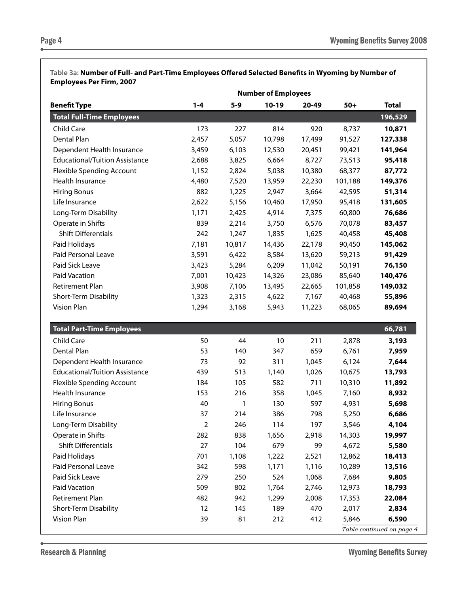**Table 3a: Number of Full- and Part-Time Employees Offered Selected Benefits in Wyoming by Number of Employees Per Firm, 2007**

| <b>Benefit Type</b>                   | $1 - 4$                 | $5 - 9$ | $10-19$ | 20-49  | $50+$   | <b>Total</b>              |
|---------------------------------------|-------------------------|---------|---------|--------|---------|---------------------------|
| <b>Total Full-Time Employees</b>      |                         |         |         |        |         | 196,529                   |
| Child Care                            | 173                     | 227     | 814     | 920    | 8,737   | 10,871                    |
| Dental Plan                           | 2,457                   | 5,057   | 10,798  | 17,499 | 91,527  | 127,338                   |
| Dependent Health Insurance            | 3,459                   | 6,103   | 12,530  | 20,451 | 99,421  | 141,964                   |
| <b>Educational/Tuition Assistance</b> | 2,688                   | 3,825   | 6,664   | 8,727  | 73,513  | 95,418                    |
| <b>Flexible Spending Account</b>      | 1,152                   | 2,824   | 5,038   | 10,380 | 68,377  | 87,772                    |
| Health Insurance                      | 4,480                   | 7,520   | 13,959  | 22,230 | 101,188 | 149,376                   |
| <b>Hiring Bonus</b>                   | 882                     | 1,225   | 2,947   | 3,664  | 42,595  | 51,314                    |
| Life Insurance                        | 2,622                   | 5,156   | 10,460  | 17,950 | 95,418  | 131,605                   |
| Long-Term Disability                  | 1,171                   | 2,425   | 4,914   | 7,375  | 60,800  | 76,686                    |
| Operate in Shifts                     | 839                     | 2,214   | 3,750   | 6,576  | 70,078  | 83,457                    |
| <b>Shift Differentials</b>            | 242                     | 1,247   | 1,835   | 1,625  | 40,458  | 45,408                    |
| Paid Holidays                         | 7,181                   | 10,817  | 14,436  | 22,178 | 90,450  | 145,062                   |
| Paid Personal Leave                   | 3,591                   | 6,422   | 8,584   | 13,620 | 59,213  | 91,429                    |
| Paid Sick Leave                       | 3,423                   | 5,284   | 6,209   | 11,042 | 50,191  | 76,150                    |
| <b>Paid Vacation</b>                  | 7,001                   | 10,423  | 14,326  | 23,086 | 85,640  | 140,476                   |
| Retirement Plan                       | 3,908                   | 7,106   | 13,495  | 22,665 | 101,858 | 149,032                   |
| Short-Term Disability                 | 1,323                   | 2,315   | 4,622   | 7,167  | 40,468  | 55,896                    |
| <b>Vision Plan</b>                    | 1,294                   | 3,168   | 5,943   | 11,223 | 68,065  | 89,694                    |
| <b>Total Part-Time Employees</b>      |                         |         |         |        |         | 66,781                    |
| Child Care                            | 50                      | 44      | $10$    | 211    | 2,878   | 3,193                     |
| Dental Plan                           | 53                      | 140     | 347     | 659    | 6,761   | 7,959                     |
| Dependent Health Insurance            | 73                      | 92      | 311     | 1,045  | 6,124   | 7,644                     |
| <b>Educational/Tuition Assistance</b> | 439                     | 513     | 1,140   | 1,026  | 10,675  | 13,793                    |
| <b>Flexible Spending Account</b>      | 184                     | 105     | 582     | 711    | 10,310  | 11,892                    |
| Health Insurance                      | 153                     | 216     | 358     | 1,045  | 7,160   | 8,932                     |
| <b>Hiring Bonus</b>                   | 40                      | 1       | 130     | 597    | 4,931   | 5,698                     |
| Life Insurance                        | 37                      | 214     | 386     | 798    | 5,250   | 6,686                     |
| Long-Term Disability                  | $\overline{\mathbf{c}}$ | 246     | 114     | 197    | 3,546   | 4,104                     |
| Operate in Shifts                     | 282                     | 838     | 1,656   | 2,918  | 14,303  | 19,997                    |
| <b>Shift Differentials</b>            | 27                      | 104     | 679     | 99     | 4,672   | 5,580                     |
| Paid Holidays                         | 701                     | 1,108   | 1,222   | 2,521  | 12,862  | 18,413                    |
| Paid Personal Leave                   | 342                     | 598     | 1,171   | 1,116  | 10,289  | 13,516                    |
| Paid Sick Leave                       | 279                     | 250     | 524     | 1,068  | 7,684   | 9,805                     |
| Paid Vacation                         | 509                     | 802     | 1,764   | 2,746  | 12,973  | 18,793                    |
| Retirement Plan                       | 482                     | 942     | 1,299   | 2,008  | 17,353  | 22,084                    |
| Short-Term Disability                 | 12                      | 145     | 189     | 470    | 2,017   | 2,834                     |
| Vision Plan                           | 39                      | 81      | 212     | 412    | 5,846   | 6,590                     |
|                                       |                         |         |         |        |         | Table continued on page 4 |

Research & Planning **Music Contract Contract Contract Contract Contract Contract Contract Contract Contract Contract Contract Contract Contract Contract Contract Contract Contract Contract Contract Contract Contract Contra**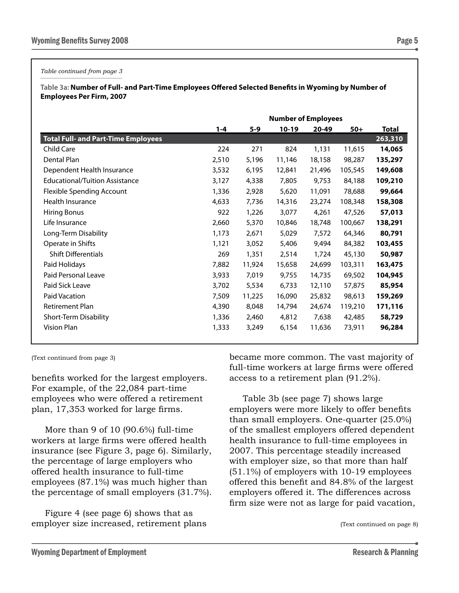*Table continued from page 3*

**Table 3a: Number of Full- and Part-Time Employees Offered Selected Benefits in Wyoming by Number of Employees Per Firm, 2007**

|                                            | <b>Number of Employees</b> |        |         |        |         |         |  |  |  |
|--------------------------------------------|----------------------------|--------|---------|--------|---------|---------|--|--|--|
|                                            | $1 - 4$                    | $5-9$  | $10-19$ | 20-49  | $50+$   | Total   |  |  |  |
| <b>Total Full- and Part-Time Employees</b> |                            |        |         |        |         | 263,310 |  |  |  |
| <b>Child Care</b>                          | 224                        | 271    | 824     | 1,131  | 11,615  | 14,065  |  |  |  |
| Dental Plan                                | 2,510                      | 5,196  | 11,146  | 18,158 | 98,287  | 135,297 |  |  |  |
| Dependent Health Insurance                 | 3,532                      | 6,195  | 12,841  | 21,496 | 105,545 | 149,608 |  |  |  |
| <b>Educational/Tuition Assistance</b>      | 3,127                      | 4,338  | 7,805   | 9,753  | 84,188  | 109,210 |  |  |  |
| <b>Flexible Spending Account</b>           | 1,336                      | 2,928  | 5,620   | 11,091 | 78,688  | 99,664  |  |  |  |
| Health Insurance                           | 4,633                      | 7,736  | 14,316  | 23,274 | 108,348 | 158,308 |  |  |  |
| <b>Hiring Bonus</b>                        | 922                        | 1,226  | 3,077   | 4,261  | 47,526  | 57,013  |  |  |  |
| Life Insurance                             | 2,660                      | 5,370  | 10,846  | 18,748 | 100,667 | 138,291 |  |  |  |
| Long-Term Disability                       | 1,173                      | 2,671  | 5,029   | 7,572  | 64,346  | 80,791  |  |  |  |
| Operate in Shifts                          | 1,121                      | 3,052  | 5,406   | 9,494  | 84,382  | 103,455 |  |  |  |
| <b>Shift Differentials</b>                 | 269                        | 1,351  | 2,514   | 1,724  | 45,130  | 50,987  |  |  |  |
| Paid Holidays                              | 7,882                      | 11,924 | 15,658  | 24,699 | 103,311 | 163,475 |  |  |  |
| Paid Personal Leave                        | 3,933                      | 7,019  | 9,755   | 14,735 | 69,502  | 104,945 |  |  |  |
| Paid Sick Leave                            | 3,702                      | 5,534  | 6,733   | 12,110 | 57,875  | 85,954  |  |  |  |
| <b>Paid Vacation</b>                       | 7,509                      | 11,225 | 16,090  | 25,832 | 98,613  | 159,269 |  |  |  |
| Retirement Plan                            | 4,390                      | 8,048  | 14,794  | 24,674 | 119,210 | 171,116 |  |  |  |
| Short-Term Disability                      | 1,336                      | 2,460  | 4,812   | 7,638  | 42,485  | 58,729  |  |  |  |
| Vision Plan                                | 1,333                      | 3,249  | 6,154   | 11,636 | 73,911  | 96,284  |  |  |  |

(Text continued from page 3)

benefits worked for the largest employers. For example, of the 22,084 part-time employees who were offered a retirement plan, 17,353 worked for large firms.

More than 9 of 10 (90.6%) full-time workers at large firms were offered health insurance (see Figure 3, page 6). Similarly, the percentage of large employers who offered health insurance to full-time employees (87.1%) was much higher than the percentage of small employers (31.7%).

Figure 4 (see page 6) shows that as employer size increased, retirement plans became more common. The vast majority of full-time workers at large firms were offered access to a retirement plan (91.2%).

Table 3b (see page 7) shows large employers were more likely to offer benefits than small employers. One-quarter (25.0%) of the smallest employers offered dependent health insurance to full-time employees in 2007. This percentage steadily increased with employer size, so that more than half (51.1%) of employers with 10-19 employees offered this benefit and 84.8% of the largest employers offered it. The differences across firm size were not as large for paid vacation,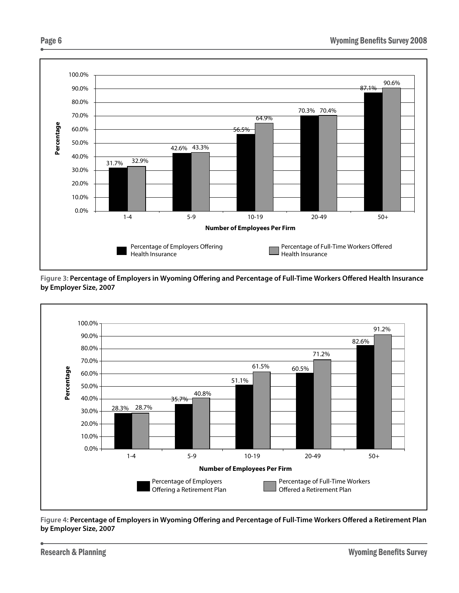

**Figure 3: Percentage of Employers in Wyoming Offering and Percentage of Full-Time Workers Offered Health Insurance by Employer Size, 2007**



**Figure 4: Percentage of Employers in Wyoming Offering and Percentage of Full-Time Workers Offered a Retirement Plan by Employer Size, 2007**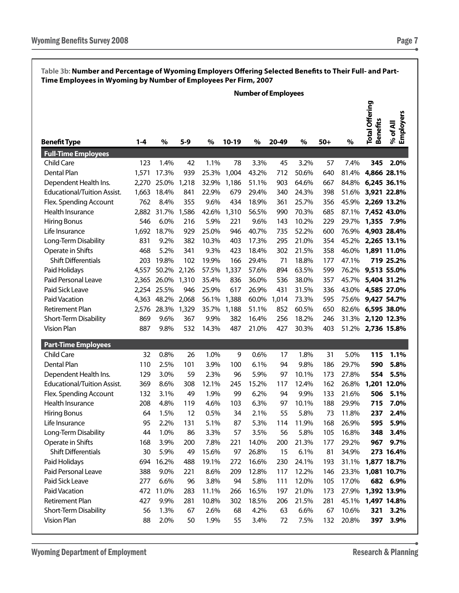|                             |         |             |       |       |       |       | <b>Number of Employees</b> |       |       |       |                                          |                       |
|-----------------------------|---------|-------------|-------|-------|-------|-------|----------------------------|-------|-------|-------|------------------------------------------|-----------------------|
| <b>Benefit Type</b>         | $1 - 4$ | $\%$        | $5-9$ | $\%$  | 10-19 | %     | 20-49                      | $\%$  | $50+$ | %     | <b>Total Offering</b><br><b>Benefits</b> | % of All<br>Employers |
| <b>Full-Time Employees</b>  |         |             |       |       |       |       |                            |       |       |       |                                          |                       |
| <b>Child Care</b>           | 123     | 1.4%        | 42    | 1.1%  | 78    | 3.3%  | 45                         | 3.2%  | 57    | 7.4%  | 345                                      | 2.0%                  |
| Dental Plan                 | 1,571   | 17.3%       | 939   | 25.3% | 1,004 | 43.2% | 712                        | 50.6% | 640   | 81.4% | 4,866 28.1%                              |                       |
| Dependent Health Ins.       | 2,270   | 25.0%       | 1,218 | 32.9% | 1,186 | 51.1% | 903                        | 64.6% | 667   | 84.8% | 6,245 36.1%                              |                       |
| Educational/Tuition Assist. | 1,663   | 18.4%       | 841   | 22.9% | 679   | 29.4% | 340                        | 24.3% | 398   | 51.6% | 3,921 22.8%                              |                       |
| Flex. Spending Account      | 762     | 8.4%        | 355   | 9.6%  | 434   | 18.9% | 361                        | 25.7% | 356   | 45.9% | 2,269 13.2%                              |                       |
| Health Insurance            | 2,882   | 31.7%       | 1,586 | 42.6% | 1,310 | 56.5% | 990                        | 70.3% | 685   | 87.1% | 7,452 43.0%                              |                       |
| <b>Hiring Bonus</b>         | 546     | 6.0%        | 216   | 5.9%  | 221   | 9.6%  | 143                        | 10.2% | 229   | 29.7% | 1,355 7.9%                               |                       |
| Life Insurance              | 1,692   | 18.7%       | 929   | 25.0% | 946   | 40.7% | 735                        | 52.2% | 600   | 76.9% | 4,903 28.4%                              |                       |
| Long-Term Disability        | 831     | 9.2%        | 382   | 10.3% | 403   | 17.3% | 295                        | 21.0% | 354   | 45.2% | 2,265 13.1%                              |                       |
| Operate in Shifts           | 468     | 5.2%        | 341   | 9.3%  | 423   | 18.4% | 302                        | 21.5% | 358   | 46.0% | 1,891 11.0%                              |                       |
| Shift Differentials         | 203     | 19.8%       | 102   | 19.9% | 166   | 29.4% | 71                         | 18.8% | 177   | 47.1% |                                          | 719 25.2%             |
| Paid Holidays               | 4,557   | 50.2%       | 2,126 | 57.5% | 1,337 | 57.6% | 894                        | 63.5% | 599   | 76.2% | 9,513 55.0%                              |                       |
| Paid Personal Leave         |         | 2,365 26.0% | 1,310 | 35.4% | 836   | 36.0% | 536                        | 38.0% | 357   | 45.7% | 5,404 31.2%                              |                       |
| Paid Sick Leave             |         | 2,254 25.5% | 946   | 25.9% | 617   | 26.9% | 431                        | 31.5% | 336   | 43.0% | 4,585 27.0%                              |                       |
| Paid Vacation               | 4,363   | 48.2%       | 2,068 | 56.1% | 1,388 | 60.0% | 1,014                      | 73.3% | 595   | 75.6% | 9,427 54.7%                              |                       |
| Retirement Plan             | 2,576   | 28.3%       | 1,329 | 35.7% | 1,188 | 51.1% | 852                        | 60.5% | 650   | 82.6% | 6,595 38.0%                              |                       |
| Short-Term Disability       | 869     | 9.6%        | 367   | 9.9%  | 382   | 16.4% | 256                        | 18.2% | 246   | 31.3% | 2,120 12.3%                              |                       |
| <b>Vision Plan</b>          | 887     | 9.8%        | 532   | 14.3% | 487   | 21.0% | 427                        | 30.3% | 403   | 51.2% | 2,736 15.8%                              |                       |
| <b>Part-Time Employees</b>  |         |             |       |       |       |       |                            |       |       |       |                                          |                       |
| <b>Child Care</b>           | 32      | 0.8%        | 26    | 1.0%  | 9     | 0.6%  | 17                         | 1.8%  | 31    | 5.0%  | 115                                      | 1.1%                  |
| Dental Plan                 | 110     | 2.5%        | 101   | 3.9%  | 100   | 6.1%  | 94                         | 9.8%  | 186   | 29.7% | 590                                      | 5.8%                  |
| Dependent Health Ins.       | 129     | 3.0%        | 59    | 2.3%  | 96    | 5.9%  | 97                         | 10.1% | 173   | 27.8% | 554                                      | 5.5%                  |
| Educational/Tuition Assist. | 369     | 8.6%        | 308   | 12.1% | 245   | 15.2% | 117                        | 12.4% | 162   | 26.8% | 1,201 12.0%                              |                       |
| Flex. Spending Account      | 132     | 3.1%        | 49    | 1.9%  | 99    | 6.2%  | 94                         | 9.9%  | 133   | 21.6% | 506                                      | 5.1%                  |
| Health Insurance            | 208     | 4.8%        | 119   | 4.6%  | 103   | 6.3%  | 97                         | 10.1% | 188   | 29.9% | 715                                      | 7.0%                  |
| <b>Hiring Bonus</b>         | 64      | 1.5%        | 12    | 0.5%  | 34    | 2.1%  | 55                         | 5.8%  | 73    | 11.8% | 237                                      | 2.4%                  |
| Life Insurance              | 95      | 2.2%        | 131   | 5.1%  | 87    | 5.3%  | 114                        | 11.9% | 168   | 26.9% | 595                                      | 5.9%                  |
| Long-Term Disability        | 44      | 1.0%        | 86    | 3.3%  | 57    | 3.5%  | 56                         | 5.8%  | 105   | 16.8% | 348                                      | 3.4%                  |

Operate in Shifts 168 3.9% 200 7.8% 221 14.0% 200 21.3% 177 29.2% **967 9.7%** Shift Differentials 30 5.9% 49 15.6% 97 26.8% 15 6.1% 81 34.9% **273 16.4%** Paid Holidays 694 16.2% 488 19.1% 272 16.6% 230 24.1% 193 31.1% **1,877 18.7%** Paid Personal Leave 388 9.0% 221 8.6% 209 12.8% 117 12.2% 146 23.3% **1,081 10.7%** Paid Sick Leave 277 6.6% 96 3.8% 94 5.8% 111 12.0% 105 17.0% **682 6.9%** Paid Vacation 472 11.0% 283 11.1% 266 16.5% 197 21.0% 173 27.9% **1,392 13.9%** Retirement Plan 427 9.9% 281 10.8% 302 18.5% 206 21.5% 281 45.1% **1,497 14.8%** Short-Term Disability 56 1.3% 67 2.6% 68 4.2% 63 6.6% 67 10.6% **321 3.2%** Vision Plan 88 2.0% 50 1.9% 55 3.4% 72 7.5% 132 20.8% **397 3.9%**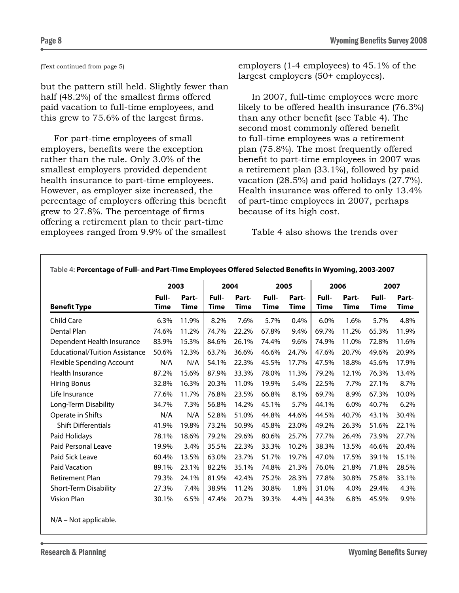#### (Text continued from page 5)

but the pattern still held. Slightly fewer than half (48.2%) of the smallest firms offered paid vacation to full-time employees, and this grew to 75.6% of the largest firms.

For part-time employees of small employers, benefits were the exception rather than the rule. Only 3.0% of the smallest employers provided dependent health insurance to part-time employees. However, as employer size increased, the percentage of employers offering this benefit grew to 27.8%. The percentage of firms offering a retirement plan to their part-time employees ranged from 9.9% of the smallest

employers (1-4 employees) to 45.1% of the largest employers (50+ employees).

In 2007, full-time employees were more likely to be offered health insurance (76.3%) than any other benefit (see Table 4). The second most commonly offered benefit to full-time employees was a retirement plan (75.8%). The most frequently offered benefit to part-time employees in 2007 was a retirement plan (33.1%), followed by paid vacation (28.5%) and paid holidays (27.7%). Health insurance was offered to only 13.4% of part-time employees in 2007, perhaps because of its high cost.

Table 4 also shows the trends over

|                                       | 2003          |                      |                      | 2004          | 2005          |               |               | 2006          |               | 2007          |
|---------------------------------------|---------------|----------------------|----------------------|---------------|---------------|---------------|---------------|---------------|---------------|---------------|
| <b>Benefit Type</b>                   | Full-<br>Time | Part-<br><b>Time</b> | Full-<br><b>Time</b> | Part-<br>Time | Full-<br>Time | Part-<br>Time | Full-<br>Time | Part-<br>Time | Full-<br>Time | Part-<br>Time |
| <b>Child Care</b>                     | 6.3%          | 11.9%                | 8.2%                 | 7.6%          | 5.7%          | 0.4%          | 6.0%          | 1.6%          | 5.7%          | 4.8%          |
| Dental Plan                           | 74.6%         | 11.2%                | 74.7%                | 22.2%         | 67.8%         | 9.4%          | 69.7%         | 11.2%         | 65.3%         | 11.9%         |
| Dependent Health Insurance            | 83.9%         | 15.3%                | 84.6%                | 26.1%         | 74.4%         | 9.6%          | 74.9%         | 11.0%         | 72.8%         | 11.6%         |
| <b>Educational/Tuition Assistance</b> | 50.6%         | 12.3%                | 63.7%                | 36.6%         | 46.6%         | 24.7%         | 47.6%         | 20.7%         | 49.6%         | 20.9%         |
| <b>Flexible Spending Account</b>      | N/A           | N/A                  | 54.1%                | 22.3%         | 45.5%         | 17.7%         | 47.5%         | 18.8%         | 45.6%         | 17.9%         |
| Health Insurance                      | 87.2%         | 15.6%                | 87.9%                | 33.3%         | 78.0%         | 11.3%         | 79.2%         | 12.1%         | 76.3%         | 13.4%         |
| <b>Hiring Bonus</b>                   | 32.8%         | 16.3%                | 20.3%                | 11.0%         | 19.9%         | 5.4%          | 22.5%         | 7.7%          | 27.1%         | 8.7%          |
| Life Insurance                        | 77.6%         | 11.7%                | 76.8%                | 23.5%         | 66.8%         | 8.1%          | 69.7%         | 8.9%          | 67.3%         | 10.0%         |
| Long-Term Disability                  | 34.7%         | 7.3%                 | 56.8%                | 14.2%         | 45.1%         | 5.7%          | 44.1%         | 6.0%          | 40.7%         | 6.2%          |
| Operate in Shifts                     | N/A           | N/A                  | 52.8%                | 51.0%         | 44.8%         | 44.6%         | 44.5%         | 40.7%         | 43.1%         | 30.4%         |
| <b>Shift Differentials</b>            | 41.9%         | 19.8%                | 73.2%                | 50.9%         | 45.8%         | 23.0%         | 49.2%         | 26.3%         | 51.6%         | 22.1%         |
| Paid Holidays                         | 78.1%         | 18.6%                | 79.2%                | 29.6%         | 80.6%         | 25.7%         | 77.7%         | 26.4%         | 73.9%         | 27.7%         |
| Paid Personal Leave                   | 19.9%         | 3.4%                 | 35.5%                | 22.3%         | 33.3%         | 10.2%         | 38.3%         | 13.5%         | 46.6%         | 20.4%         |
| Paid Sick Leave                       | 60.4%         | 13.5%                | 63.0%                | 23.7%         | 51.7%         | 19.7%         | 47.0%         | 17.5%         | 39.1%         | 15.1%         |
| <b>Paid Vacation</b>                  | 89.1%         | 23.1%                | 82.2%                | 35.1%         | 74.8%         | 21.3%         | 76.0%         | 21.8%         | 71.8%         | 28.5%         |
| <b>Retirement Plan</b>                | 79.3%         | 24.1%                | 81.9%                | 42.4%         | 75.2%         | 28.3%         | 77.8%         | 30.8%         | 75.8%         | 33.1%         |
| Short-Term Disability                 | 27.3%         | 7.4%                 | 38.9%                | 11.2%         | 30.8%         | 1.8%          | 31.0%         | 4.0%          | 29.4%         | 4.3%          |
| Vision Plan                           | 30.1%         | 6.5%                 | 47.4%                | 20.7%         | 39.3%         | 4.4%          | 44.3%         | 6.8%          | 45.9%         | 9.9%          |
| N/A - Not applicable.                 |               |                      |                      |               |               |               |               |               |               |               |

**Table 4: Percentage of Full- and Part-Time Employees Offered Selected Benefits in Wyoming, 2003-2007**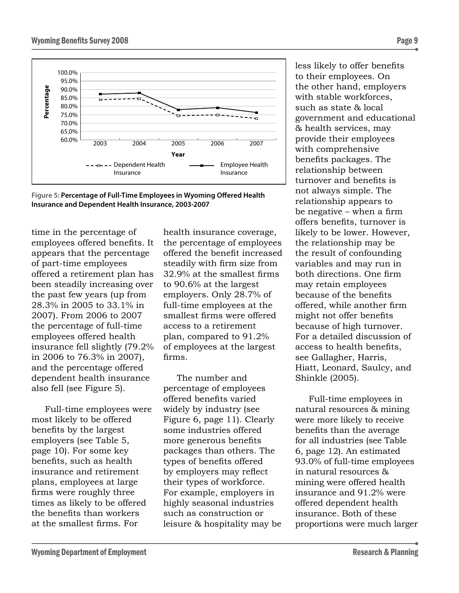



time in the percentage of employees offered benefits. It appears that the percentage of part-time employees offered a retirement plan has been steadily increasing over the past few years (up from 28.3% in 2005 to 33.1% in 2007). From 2006 to 2007 the percentage of full-time employees offered health insurance fell slightly (79.2% in 2006 to 76.3% in 2007), and the percentage offered dependent health insurance also fell (see Figure 5).

Full-time employees were most likely to be offered benefits by the largest employers (see Table 5, page 10). For some key benefits, such as health insurance and retirement plans, employees at large firms were roughly three times as likely to be offered the benefits than workers at the smallest firms. For

health insurance coverage, the percentage of employees offered the benefit increased steadily with firm size from 32.9% at the smallest firms to 90.6% at the largest employers. Only 28.7% of full-time employees at the smallest firms were offered access to a retirement plan, compared to 91.2% of employees at the largest firms.

The number and percentage of employees offered benefits varied widely by industry (see Figure 6, page 11). Clearly some industries offered more generous benefits packages than others. The types of benefits offered by employers may reflect their types of workforce. For example, employers in highly seasonal industries such as construction or leisure & hospitality may be less likely to offer benefits to their employees. On the other hand, employers with stable workforces, such as state & local government and educational & health services, may provide their employees with comprehensive benefits packages. The relationship between turnover and benefits is not always simple. The relationship appears to be negative – when a firm offers benefits, turnover is likely to be lower. However, the relationship may be the result of confounding variables and may run in both directions. One firm may retain employees because of the benefits offered, while another firm might not offer benefits because of high turnover. For a detailed discussion of access to health benefits, see Gallagher, Harris, Hiatt, Leonard, Saulcy, and Shinkle (2005).

Full-time employees in natural resources & mining were more likely to receive benefits than the average for all industries (see Table 6, page 12). An estimated 93.0% of full-time employees in natural resources & mining were offered health insurance and 91.2% were offered dependent health insurance. Both of these proportions were much larger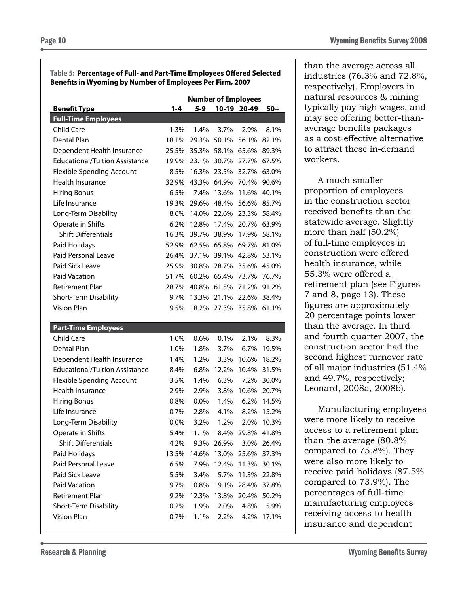#### **Table 5: Percentage of Full- and Part-Time Employees Offered Selected Benefits in Wyoming by Number of Employees Per Firm, 2007**

|                                       | <b>Number of Employees</b> |       |       |             |       |  |
|---------------------------------------|----------------------------|-------|-------|-------------|-------|--|
| <b>Benefit Type</b>                   | $1 - 4$                    | $5-9$ |       | 10-19 20-49 | $50+$ |  |
| <b>Full-Time Employees</b>            |                            |       |       |             |       |  |
| <b>Child Care</b>                     | 1.3%                       | 1.4%  | 3.7%  | 2.9%        | 8.1%  |  |
| Dental Plan                           | 18.1%                      | 29.3% | 50.1% | 56.1%       | 82.1% |  |
| Dependent Health Insurance            | 25.5%                      | 35.3% | 58.1% | 65.6%       | 89.3% |  |
| <b>Educational/Tuition Assistance</b> | 19.9%                      | 23.1% | 30.7% | 27.7%       | 67.5% |  |
| <b>Flexible Spending Account</b>      | 8.5%                       | 16.3% | 23.5% | 32.7%       | 63.0% |  |
| Health Insurance                      | 32.9%                      | 43.3% | 64.9% | 70.4%       | 90.6% |  |
| <b>Hiring Bonus</b>                   | 6.5%                       | 7.4%  | 13.6% | 11.6%       | 40.1% |  |
| Life Insurance                        | 19.3%                      | 29.6% | 48.4% | 56.6%       | 85.7% |  |
| Long-Term Disability                  | 8.6%                       | 14.0% | 22.6% | 23.3%       | 58.4% |  |
| Operate in Shifts                     | 6.2%                       | 12.8% | 17.4% | 20.7%       | 63.9% |  |
| <b>Shift Differentials</b>            | 16.3%                      | 39.7% | 38.9% | 17.9%       | 58.1% |  |
| Paid Holidays                         | 52.9%                      | 62.5% | 65.8% | 69.7%       | 81.0% |  |
| Paid Personal Leave                   | 26.4%                      | 37.1% | 39.1% | 42.8%       | 53.1% |  |
| Paid Sick Leave                       | 25.9%                      | 30.8% | 28.7% | 35.6%       | 45.0% |  |
| <b>Paid Vacation</b>                  | 51.7%                      | 60.2% | 65.4% | 73.7%       | 76.7% |  |
| <b>Retirement Plan</b>                | 28.7%                      | 40.8% | 61.5% | 71.2%       | 91.2% |  |
| Short-Term Disability                 | 9.7%                       | 13.3% | 21.1% | 22.6%       | 38.4% |  |
| Vision Plan                           | 9.5%                       | 18.2% | 27.3% | 35.8%       | 61.1% |  |
|                                       |                            |       |       |             |       |  |
| <b>Part-Time Employees</b>            |                            |       |       |             |       |  |
| Child Care                            | 1.0%                       | 0.6%  | 0.1%  | 2.1%        | 8.3%  |  |
| Dental Plan                           | 1.0%                       | 1.8%  | 3.7%  | 6.7%        | 19.5% |  |
| Dependent Health Insurance            | 1.4%                       | 1.2%  | 3.3%  | 10.6%       | 18.2% |  |
| <b>Educational/Tuition Assistance</b> | 8.4%                       | 6.8%  | 12.2% | 10.4%       | 31.5% |  |
| <b>Flexible Spending Account</b>      | 3.5%                       | 1.4%  | 6.3%  | 7.2%        | 30.0% |  |
| Health Insurance                      | 2.9%                       | 2.9%  | 3.8%  | 10.6%       | 20.7% |  |
| <b>Hiring Bonus</b>                   | 0.8%                       | 0.0%  | 1.4%  | 6.2%        | 14.5% |  |
| Life Insurance                        | 0.7%                       | 2.8%  | 4.1%  | 8.2%        | 15.2% |  |
| Long-Term Disability                  | $0.0\%$                    | 3.2%  | 1.2%  | 2.0%        | 10.3% |  |
| Operate in Shifts                     | 5.4%                       | 11.1% | 18.4% | 29.8%       | 41.8% |  |
| <b>Shift Differentials</b>            | 4.2%                       | 9.3%  | 26.9% | 3.0%        | 26.4% |  |
| Paid Holidays                         | 13.5%                      | 14.6% | 13.0% | 25.6%       | 37.3% |  |
| Paid Personal Leave                   | 6.5%                       | 7.9%  | 12.4% | 11.3%       | 30.1% |  |
| Paid Sick Leave                       | 5.5%                       | 3.4%  | 5.7%  | 11.3%       | 22.8% |  |
| Paid Vacation                         | 9.7%                       | 10.8% | 19.1% | 28.4%       | 37.8% |  |
| Retirement Plan                       | 9.2%                       | 12.3% | 13.8% | 20.4%       | 50.2% |  |
| Short-Term Disability                 | 0.2%                       | 1.9%  | 2.0%  | 4.8%        | 5.9%  |  |
| <b>Vision Plan</b>                    | $0.7\%$                    | 1.1%  | 2.2%  | 4.2%        | 17.1% |  |

than the average across all industries (76.3% and 72.8%, respectively). Employers in natural resources & mining typically pay high wages, and may see offering better-thanaverage benefits packages as a cost-effective alternative to attract these in-demand workers.

A much smaller proportion of employees in the construction sector received benefits than the statewide average. Slightly more than half (50.2%) of full-time employees in construction were offered health insurance, while 55.3% were offered a retirement plan (see Figures 7 and 8, page 13). These figures are approximately 20 percentage points lower than the average. In third and fourth quarter 2007, the construction sector had the second highest turnover rate of all major industries (51.4% and 49.7%, respectively; Leonard, 2008a, 2008b).

Manufacturing employees were more likely to receive access to a retirement plan than the average (80.8% compared to 75.8%). They were also more likely to receive paid holidays (87.5% compared to 73.9%). The percentages of full-time manufacturing employees receiving access to health insurance and dependent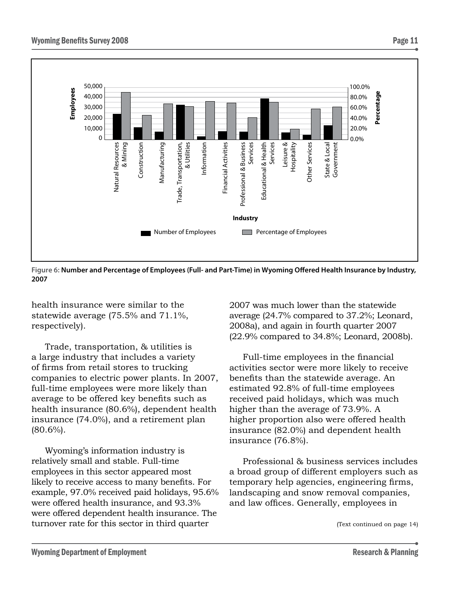

**Figure 6: Number and Percentage of Employees (Full- and Part-Time) in Wyoming Offered Health Insurance by Industry, 2007**

health insurance were similar to the statewide average (75.5% and 71.1%, respectively).

Trade, transportation, & utilities is a large industry that includes a variety of firms from retail stores to trucking companies to electric power plants. In 2007, full-time employees were more likely than average to be offered key benefits such as health insurance (80.6%), dependent health insurance (74.0%), and a retirement plan (80.6%).

Wyoming's information industry is relatively small and stable. Full-time employees in this sector appeared most likely to receive access to many benefits. For example, 97.0% received paid holidays, 95.6% were offered health insurance, and 93.3% were offered dependent health insurance. The turnover rate for this sector in third quarter

2007 was much lower than the statewide average (24.7% compared to 37.2%; Leonard, 2008a), and again in fourth quarter 2007 (22.9% compared to 34.8%; Leonard, 2008b).

Full-time employees in the financial activities sector were more likely to receive benefits than the statewide average. An estimated 92.8% of full-time employees received paid holidays, which was much higher than the average of 73.9%. A higher proportion also were offered health insurance (82.0%) and dependent health insurance (76.8%).

Professional & business services includes a broad group of different employers such as temporary help agencies, engineering firms, landscaping and snow removal companies, and law offices. Generally, employees in

<sup>(</sup>Text continued on page 14)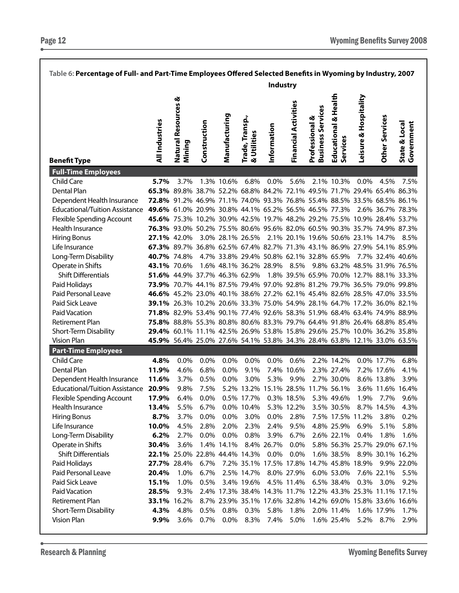| Table 6: Percentage of Full- and Part-Time Employees Offered Selected Benefits in Wyoming by Industry, 2007 |                                                                         |                                                                                |              |               |                                |                                                            |                      |                                            |                                     |                                          |                  |                             |
|-------------------------------------------------------------------------------------------------------------|-------------------------------------------------------------------------|--------------------------------------------------------------------------------|--------------|---------------|--------------------------------|------------------------------------------------------------|----------------------|--------------------------------------------|-------------------------------------|------------------------------------------|------------------|-----------------------------|
|                                                                                                             |                                                                         |                                                                                |              |               |                                | Industry                                                   |                      |                                            |                                     |                                          |                  |                             |
| <b>Benefit Type</b>                                                                                         | <b>All Industries</b>                                                   | Natural Resources &<br>Mining                                                  | Construction | Manufacturing | Trade, Transp.,<br>& Utilities | Information                                                | Financial Activities | <b>Business Services</b><br>Professional & | & Health<br>Educational<br>Services | Leisure & Hospitality                    | Other Services   | State & Local<br>Government |
| <b>Full-Time Employees</b><br>Child Care                                                                    | 5.7%                                                                    | 3.7%                                                                           |              | 1.3% 10.6%    | 6.8%                           | $0.0\%$                                                    | 5.6%                 |                                            | 2.1% 10.3%                          | $0.0\%$                                  | 4.5%             | 7.5%                        |
| Dental Plan                                                                                                 | 65.3% 89.8% 38.7% 52.2% 68.8% 84.2% 72.1% 49.5% 71.7% 29.4% 65.4% 86.3% |                                                                                |              |               |                                |                                                            |                      |                                            |                                     |                                          |                  |                             |
| Dependent Health Insurance                                                                                  | 72.8% 91.2% 46.9% 71.1% 74.0% 93.3% 76.8% 55.4% 88.5% 33.5% 68.5% 86.1% |                                                                                |              |               |                                |                                                            |                      |                                            |                                     |                                          |                  |                             |
| <b>Educational/Tuition Assistance</b>                                                                       | 49.6% 61.0% 20.9% 30.8% 44.1% 65.2% 56.5% 46.5% 77.3%                   |                                                                                |              |               |                                |                                                            |                      |                                            |                                     |                                          | 2.6% 36.7% 78.3% |                             |
| <b>Flexible Spending Account</b>                                                                            | 45.6% 75.3% 10.2% 30.9% 42.5% 19.7% 48.2% 29.2% 75.5% 10.9% 28.4% 53.7% |                                                                                |              |               |                                |                                                            |                      |                                            |                                     |                                          |                  |                             |
| Health Insurance                                                                                            | 76.3% 93.0% 50.2% 75.5% 80.6% 95.6% 82.0% 60.5% 90.3% 35.7% 74.9% 87.3% |                                                                                |              |               |                                |                                                            |                      |                                            |                                     |                                          |                  |                             |
| <b>Hiring Bonus</b>                                                                                         | <b>27.1%</b> 42.0%                                                      |                                                                                |              |               | 3.0% 28.1% 26.5%               |                                                            |                      |                                            |                                     | 2.1% 20.1% 19.6% 50.6% 23.1% 14.7%       |                  | 8.5%                        |
| Life Insurance                                                                                              | 67.3% 89.7% 36.8% 62.5% 67.4% 82.7% 71.3% 43.1% 86.9% 27.9% 54.1% 85.9% |                                                                                |              |               |                                |                                                            |                      |                                            |                                     |                                          |                  |                             |
| Long-Term Disability                                                                                        | <b>40.7%</b> 74.8%                                                      |                                                                                |              |               |                                | 4.7% 33.8% 29.4% 50.8% 62.1% 32.8% 65.9%                   |                      |                                            |                                     |                                          | 7.7% 32.4% 40.6% |                             |
| Operate in Shifts                                                                                           | 43.1% 70.6%                                                             |                                                                                |              |               | 1.6% 48.1% 36.2% 28.9%         |                                                            |                      |                                            |                                     | 8.5% 9.8% 63.2% 48.5% 31.9% 76.5%        |                  |                             |
| <b>Shift Differentials</b>                                                                                  |                                                                         | 51.6% 44.9% 37.7% 46.3% 62.9%                                                  |              |               |                                |                                                            |                      |                                            |                                     | 1.8% 39.5% 65.9% 70.0% 12.7% 88.1% 33.3% |                  |                             |
| Paid Holidays                                                                                               | 73.9% 70.7% 44.1% 87.5% 79.4% 97.0% 92.8% 81.2% 79.7% 36.5% 79.0% 99.8% |                                                                                |              |               |                                |                                                            |                      |                                            |                                     |                                          |                  |                             |
| Paid Personal Leave                                                                                         | 46.6% 45.2% 23.0% 40.1% 38.6% 27.2% 62.1% 45.4% 82.6% 28.5% 47.0% 33.5% |                                                                                |              |               |                                |                                                            |                      |                                            |                                     |                                          |                  |                             |
| Paid Sick Leave                                                                                             |                                                                         | <b>39.1%</b> 26.3% 10.2% 20.6% 33.3% 75.0% 54.9% 28.1% 64.7% 17.2% 36.0% 82.1% |              |               |                                |                                                            |                      |                                            |                                     |                                          |                  |                             |
| Paid Vacation                                                                                               | 71.8% 82.9% 53.4% 90.1% 77.4% 92.6% 58.3% 51.9% 68.4% 63.4% 74.9% 88.9% |                                                                                |              |               |                                |                                                            |                      |                                            |                                     |                                          |                  |                             |
| Retirement Plan                                                                                             | 75.8% 88.8% 55.3% 80.8% 80.6% 83.3% 79.7% 64.4% 91.8% 26.4% 68.8% 85.4% |                                                                                |              |               |                                |                                                            |                      |                                            |                                     |                                          |                  |                             |
| Short-Term Disability                                                                                       | 29.4% 60.1% 11.1% 42.5% 26.9% 53.8% 15.8% 29.6% 25.7% 10.0% 36.2% 35.8% |                                                                                |              |               |                                |                                                            |                      |                                            |                                     |                                          |                  |                             |
| <b>Vision Plan</b>                                                                                          | 45.9% 56.4% 25.0% 27.6% 54.1% 53.8% 34.3% 28.4% 63.8% 12.1% 33.0% 63.5% |                                                                                |              |               |                                |                                                            |                      |                                            |                                     |                                          |                  |                             |
| <b>Part-Time Employees</b>                                                                                  |                                                                         |                                                                                |              |               |                                |                                                            |                      |                                            |                                     |                                          |                  |                             |
| Child Care                                                                                                  | 4.8%                                                                    | 0.0%                                                                           | 0.0%         | 0.0%          | 0.0%                           | 0.0%                                                       | 0.6%                 |                                            | 2.2% 14.2%                          |                                          | 0.0% 17.7%       | 6.8%                        |
| Dental Plan                                                                                                 | 11.9%                                                                   | 4.6%                                                                           | 6.8%         | 0.0%          | 9.1%                           |                                                            | 7.4% 10.6%           |                                            | 2.3% 27.4%                          |                                          | 7.2% 17.6%       | 4.1%                        |
| Dependent Health Insurance                                                                                  | 11.6%                                                                   | 3.7%                                                                           | 0.5%         | 0.0%          | 3.0%                           | 5.3%                                                       | 9.9%                 |                                            | 2.7% 30.0%                          |                                          | 8.6% 13.8%       | 3.9%                        |
| <b>Educational/Tuition Assistance</b>                                                                       | 20.9%                                                                   | 9.8%                                                                           | 7.5%         |               |                                | 5.2% 13.2% 15.1% 28.5% 11.7% 56.1%                         |                      |                                            |                                     |                                          | 3.6% 11.6% 16.4% |                             |
| Flexible Spending Account                                                                                   | 17.9%                                                                   | 6.4%                                                                           | 0.0%         |               | 0.5% 17.7%                     |                                                            | 0.3% 18.5%           |                                            | 5.3% 49.6%                          | 1.9%                                     | 7.7%             | 9.6%                        |
| Health Insurance                                                                                            | 13.4%                                                                   | 5.5%                                                                           | 6.7%         |               | 0.0% 10.4%                     |                                                            | 5.3% 12.2%           |                                            | 3.5% 30.5%                          |                                          | 8.7% 14.5%       | 4.3%                        |
| <b>Hiring Bonus</b>                                                                                         | 8.7%                                                                    | 3.7%                                                                           | 0.0%         | 0.0%          | 3.0%                           | 0.0%                                                       | 2.8%                 |                                            | 7.5% 17.5% 11.2%                    |                                          | 3.8%             | 0.2%                        |
| Life Insurance                                                                                              | 10.0%                                                                   | 4.5%                                                                           | 2.8%         | 2.0%          | 2.3%                           | 2.4%                                                       | 9.5%                 |                                            | 4.8% 25.9%                          | 6.9%                                     | 5.1%             | 5.8%                        |
| Long-Term Disability                                                                                        | 6.2%                                                                    | 2.7%                                                                           | 0.0%         | 0.0%          | 0.8%                           | 3.9%                                                       | 6.7%                 |                                            | 2.6% 22.1%                          | 0.4%                                     | 1.8%             | 1.6%                        |
| Operate in Shifts                                                                                           | 30.4%<br>22.1% 25.0% 22.8% 44.4% 14.3%                                  | 3.6%                                                                           |              | 1.4% 14.1%    |                                | 8.4% 26.7%                                                 | 0.0%<br>0.0%         |                                            |                                     | 5.8% 56.3% 25.7% 29.0% 67.1%             | 8.9% 30.1% 16.2% |                             |
| <b>Shift Differentials</b>                                                                                  | 27.7% 28.4%                                                             |                                                                                | 6.7%         |               |                                | $0.0\%$<br>7.2% 35.1% 17.5% 17.8% 14.7% 45.8% 18.9%        |                      |                                            | 1.6% 38.5%                          |                                          |                  | 9.9% 22.0%                  |
| Paid Holidays<br>Paid Personal Leave                                                                        | 20.4%                                                                   | 1.0%                                                                           | 6.7%         |               | 2.5% 14.7%                     |                                                            | 8.0% 27.9%           |                                            | 6.0% 53.0%                          |                                          | 7.6% 22.1%       | 5.5%                        |
| Paid Sick Leave                                                                                             | 15.1%                                                                   | 1.0%                                                                           | 0.5%         |               | 3.4% 19.6%                     |                                                            | 4.5% 11.4%           |                                            | 6.5% 38.4%                          | 0.3%                                     | $3.0\%$          | 9.2%                        |
| Paid Vacation                                                                                               | 28.5%                                                                   | 9.3%                                                                           |              |               |                                | 2.4% 17.3% 38.4% 14.3% 11.7% 12.2% 43.3% 25.3% 11.1% 17.1% |                      |                                            |                                     |                                          |                  |                             |
| Retirement Plan                                                                                             | 33.1%                                                                   | 16.2%                                                                          |              |               |                                | 8.7% 23.9% 35.1% 17.6% 32.8% 14.2% 69.0% 15.8% 33.6% 16.6% |                      |                                            |                                     |                                          |                  |                             |
| Short-Term Disability                                                                                       | 4.3%                                                                    | 4.8%                                                                           | 0.5%         | 0.8%          | 0.3%                           | 5.8%                                                       | 1.8%                 |                                            | 2.0% 11.4%                          |                                          | 1.6% 17.9%       | 1.7%                        |
| <b>Vision Plan</b>                                                                                          | 9.9%                                                                    | 3.6%                                                                           | 0.7%         | 0.0%          | 8.3%                           | 7.4%                                                       | 5.0%                 |                                            | 1.6% 25.4%                          | 5.2%                                     | 8.7%             | 2.9%                        |
|                                                                                                             |                                                                         |                                                                                |              |               |                                |                                                            |                      |                                            |                                     |                                          |                  |                             |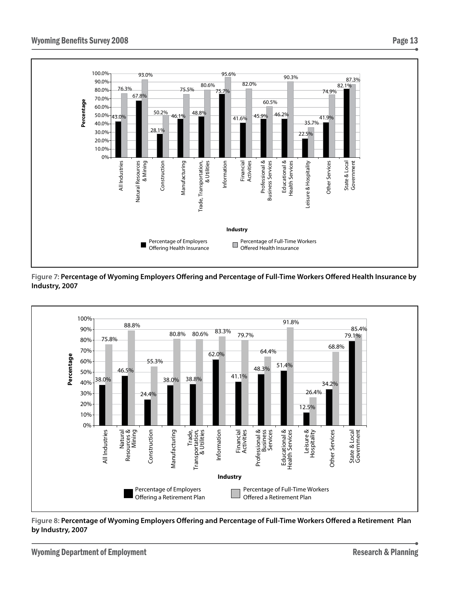

**Figure 7: Percentage of Wyoming Employers Offering and Percentage of Full-Time Workers Offered Health Insurance by Industry, 2007**



**Figure 8: Percentage of Wyoming Employers Offering and Percentage of Full-Time Workers Offered a Retirement Plan by Industry, 2007**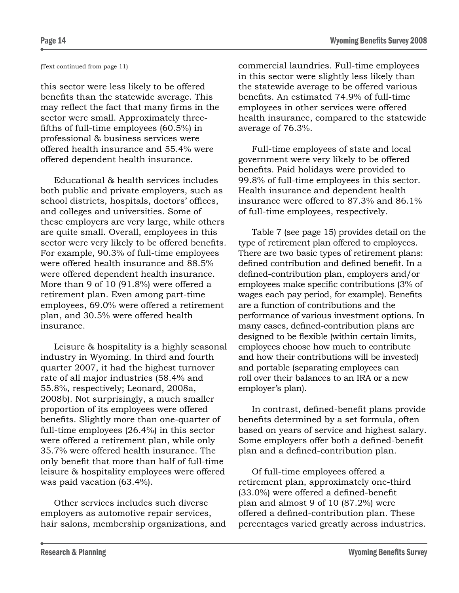#### (Text continued from page 11)

this sector were less likely to be offered benefits than the statewide average. This may reflect the fact that many firms in the sector were small. Approximately threefifths of full-time employees (60.5%) in professional & business services were offered health insurance and 55.4% were offered dependent health insurance.

Educational & health services includes both public and private employers, such as school districts, hospitals, doctors' offices, and colleges and universities. Some of these employers are very large, while others are quite small. Overall, employees in this sector were very likely to be offered benefits. For example, 90.3% of full-time employees were offered health insurance and 88.5% were offered dependent health insurance. More than 9 of 10 (91.8%) were offered a retirement plan. Even among part-time employees, 69.0% were offered a retirement plan, and 30.5% were offered health insurance.

Leisure & hospitality is a highly seasonal industry in Wyoming. In third and fourth quarter 2007, it had the highest turnover rate of all major industries (58.4% and 55.8%, respectively; Leonard, 2008a, 2008b). Not surprisingly, a much smaller proportion of its employees were offered benefits. Slightly more than one-quarter of full-time employees (26.4%) in this sector were offered a retirement plan, while only 35.7% were offered health insurance. The only benefit that more than half of full-time leisure & hospitality employees were offered was paid vacation (63.4%).

Other services includes such diverse employers as automotive repair services, hair salons, membership organizations, and commercial laundries. Full-time employees in this sector were slightly less likely than the statewide average to be offered various benefits. An estimated 74.9% of full-time employees in other services were offered health insurance, compared to the statewide average of 76.3%.

Full-time employees of state and local government were very likely to be offered benefits. Paid holidays were provided to 99.8% of full-time employees in this sector. Health insurance and dependent health insurance were offered to 87.3% and 86.1% of full-time employees, respectively.

Table 7 (see page 15) provides detail on the type of retirement plan offered to employees. There are two basic types of retirement plans: defined contribution and defined benefit. In a defined-contribution plan, employers and/or employees make specific contributions (3% of wages each pay period, for example). Benefits are a function of contributions and the performance of various investment options. In many cases, defined-contribution plans are designed to be flexible (within certain limits, employees choose how much to contribute and how their contributions will be invested) and portable (separating employees can roll over their balances to an IRA or a new employer's plan).

In contrast, defined-benefit plans provide benefits determined by a set formula, often based on years of service and highest salary. Some employers offer both a defined-benefit plan and a defined-contribution plan.

Of full-time employees offered a retirement plan, approximately one-third (33.0%) were offered a defined-benefit plan and almost 9 of 10 (87.2%) were offered a defined-contribution plan. These percentages varied greatly across industries.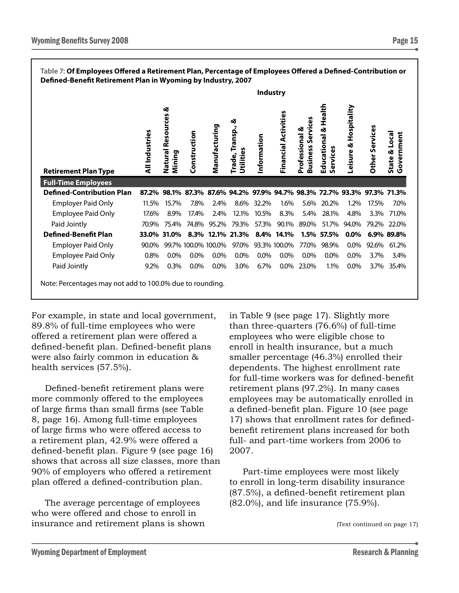| Table 7: Of Employees Offered a Retirement Plan, Percentage of Employees Offered a Defined-Contribution or<br>Defined-Benefit Retirement Plan in Wyoming by Industry, 2007 |                       |                                     |                     |               |                                      |                 |                                                                   |                                                    |                                  |                       |                |                             |
|----------------------------------------------------------------------------------------------------------------------------------------------------------------------------|-----------------------|-------------------------------------|---------------------|---------------|--------------------------------------|-----------------|-------------------------------------------------------------------|----------------------------------------------------|----------------------------------|-----------------------|----------------|-----------------------------|
|                                                                                                                                                                            |                       |                                     |                     |               |                                      | <b>Industry</b> |                                                                   |                                                    |                                  |                       |                |                             |
| <b>Retirement Plan Type</b>                                                                                                                                                | <b>All Industries</b> | ళ<br>Resources<br>Natural<br>Mining | Construction        | Manufacturing | త<br>Transp.,<br>Utilities<br>Trade, | Information     | Financial Activities                                              | စိ<br>Service<br>Professional &<br><b>Business</b> | Educational & Health<br>Services | Leisure & Hospitality | Other Services | State & Local<br>Government |
| <b>Full-Time Employees</b>                                                                                                                                                 |                       |                                     |                     |               |                                      |                 |                                                                   |                                                    |                                  |                       |                |                             |
| <b>Defined-Contribution Plan</b>                                                                                                                                           | 87.2%                 |                                     |                     |               |                                      |                 | 98.1% 87.3% 87.6% 94.2% 97.9% 94.7% 98.3% 72.7% 93.3% 97.3% 71.3% |                                                    |                                  |                       |                |                             |
| <b>Employer Paid Only</b>                                                                                                                                                  | 11.5%                 | 15.7%                               | 7.8%                | 2.4%          | 8.6%                                 | 32.2%           | 1.6%                                                              | 5.6%                                               | 20.2%                            | 1.2%                  | 17.5%          | 7.0%                        |
| <b>Employee Paid Only</b>                                                                                                                                                  | 17.6%                 | 8.9%                                | 17.4%               | 2.4%          | 12.1%                                | 10.5%           | 8.3%                                                              | 5.4%                                               | 28.1%                            | 4.8%                  | 3.3%           | 71.0%                       |
| Paid Jointly                                                                                                                                                               | 70.9%                 | 75.4%                               | 74.8%               | 95.2%         | 79.3%                                | 57.3%           | 90.1%                                                             | 89.0%                                              | 51.7%                            | 94.0%                 | 79.2%          | 22.0%                       |
| <b>Defined-Benefit Plan</b>                                                                                                                                                | 33.0%                 | 31.0%                               | 8.3%                | 12.1%         | 21.3%                                | 8.4%            | 14.1%                                                             | 1.5%                                               | 57.5%                            | $0.0\%$               |                | 6.9% 89.8%                  |
| <b>Employer Paid Only</b>                                                                                                                                                  | 90.0%                 |                                     | 99.7% 100.0% 100.0% |               | 97.0%                                |                 | 93.3% 100.0%                                                      | 77.0%                                              | 98.9%                            | 0.0%                  | 92.6%          | 61.2%                       |
| <b>Employee Paid Only</b>                                                                                                                                                  | 0.8%                  | 0.0%                                | $0.0\%$             | 0.0%          | 0.0%                                 | 0.0%            | $0.0\%$                                                           | 0.0%                                               | 0.0%                             | 0.0%                  | 3.7%           | 3.4%                        |
| Paid Jointly                                                                                                                                                               | 9.2%                  | 0.3%                                | 0.0%                | $0.0\%$       | 3.0%                                 | 6.7%            | $0.0\%$                                                           | 23.0%                                              | 1.1%                             | 0.0%                  | 3.7%           | 35.4%                       |
| Note: Percentages may not add to 100.0% due to rounding.                                                                                                                   |                       |                                     |                     |               |                                      |                 |                                                                   |                                                    |                                  |                       |                |                             |

For example, in state and local government, 89.8% of full-time employees who were offered a retirement plan were offered a defined-benefit plan. Defined-benefit plans were also fairly common in education & health services (57.5%).

Defined-benefit retirement plans were more commonly offered to the employees of large firms than small firms (see Table 8, page 16). Among full-time employees of large firms who were offered access to a retirement plan, 42.9% were offered a defined-benefit plan. Figure 9 (see page 16) shows that across all size classes, more than 90% of employers who offered a retirement plan offered a defined-contribution plan.

The average percentage of employees who were offered and chose to enroll in insurance and retirement plans is shown in Table 9 (see page 17). Slightly more than three-quarters (76.6%) of full-time employees who were eligible chose to enroll in health insurance, but a much smaller percentage (46.3%) enrolled their dependents. The highest enrollment rate for full-time workers was for defined-benefit retirement plans (97.2%). In many cases employees may be automatically enrolled in a defined-benefit plan. Figure 10 (see page 17) shows that enrollment rates for definedbenefit retirement plans increased for both full- and part-time workers from 2006 to 2007.

Part-time employees were most likely to enroll in long-term disability insurance (87.5%), a defined-benefit retirement plan (82.0%), and life insurance (75.9%).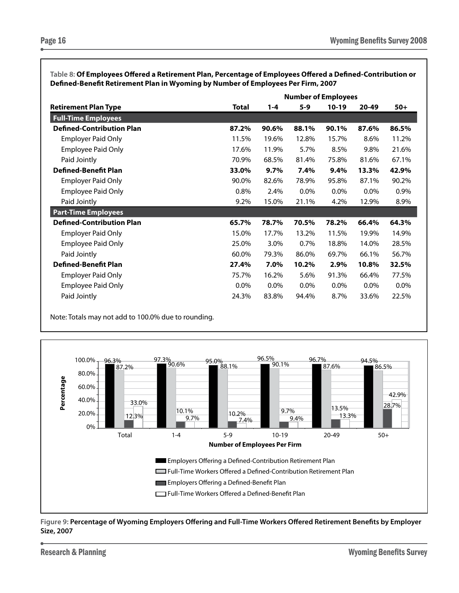|                                  |              | <b>Number of Employees</b> |       |         |         |       |  |  |  |
|----------------------------------|--------------|----------------------------|-------|---------|---------|-------|--|--|--|
| <b>Retirement Plan Type</b>      | <b>Total</b> | 1-4                        | $5-9$ | $10-19$ | 20-49   | $50+$ |  |  |  |
| <b>Full-Time Employees</b>       |              |                            |       |         |         |       |  |  |  |
| <b>Defined-Contribution Plan</b> | 87.2%        | 90.6%                      | 88.1% | 90.1%   | 87.6%   | 86.5% |  |  |  |
| <b>Employer Paid Only</b>        | 11.5%        | 19.6%                      | 12.8% | 15.7%   | 8.6%    | 11.2% |  |  |  |
| <b>Employee Paid Only</b>        | 17.6%        | 11.9%                      | 5.7%  | 8.5%    | 9.8%    | 21.6% |  |  |  |
| Paid Jointly                     | 70.9%        | 68.5%                      | 81.4% | 75.8%   | 81.6%   | 67.1% |  |  |  |
| <b>Defined-Benefit Plan</b>      | 33.0%        | $9.7\%$                    | 7.4%  | 9.4%    | 13.3%   | 42.9% |  |  |  |
| <b>Employer Paid Only</b>        | 90.0%        | 82.6%                      | 78.9% | 95.8%   | 87.1%   | 90.2% |  |  |  |
| <b>Employee Paid Only</b>        | 0.8%         | 2.4%                       | 0.0%  | $0.0\%$ | $0.0\%$ | 0.9%  |  |  |  |
| Paid Jointly                     | 9.2%         | 15.0%                      | 21.1% | 4.2%    | 12.9%   | 8.9%  |  |  |  |
| <b>Part-Time Employees</b>       |              |                            |       |         |         |       |  |  |  |
| <b>Defined-Contribution Plan</b> | 65.7%        | 78.7%                      | 70.5% | 78.2%   | 66.4%   | 64.3% |  |  |  |
| Employer Paid Only               | 15.0%        | 17.7%                      | 13.2% | 11.5%   | 19.9%   | 14.9% |  |  |  |
| <b>Employee Paid Only</b>        | 25.0%        | 3.0%                       | 0.7%  | 18.8%   | 14.0%   | 28.5% |  |  |  |
| Paid Jointly                     | 60.0%        | 79.3%                      | 86.0% | 69.7%   | 66.1%   | 56.7% |  |  |  |
| <b>Defined-Benefit Plan</b>      | 27.4%        | 7.0%                       | 10.2% | 2.9%    | 10.8%   | 32.5% |  |  |  |
| <b>Employer Paid Only</b>        | 75.7%        | 16.2%                      | 5.6%  | 91.3%   | 66.4%   | 77.5% |  |  |  |
| <b>Employee Paid Only</b>        | 0.0%         | 0.0%                       | 0.0%  | 0.0%    | $0.0\%$ | 0.0%  |  |  |  |
| Paid Jointly                     | 24.3%        | 83.8%                      | 94.4% | 8.7%    | 33.6%   | 22.5% |  |  |  |

**Table 8: Of Employees Offered a Retirement Plan, Percentage of Employees Offered a Defined-Contribution or Defined-Benefit Retirement Plan in Wyoming by Number of Employees Per Firm, 2007**

Note: Totals may not add to 100.0% due to rounding.



**Figure 9: Percentage of Wyoming Employers Offering and Full-Time Workers Offered Retirement Benefits by Employer Size, 2007**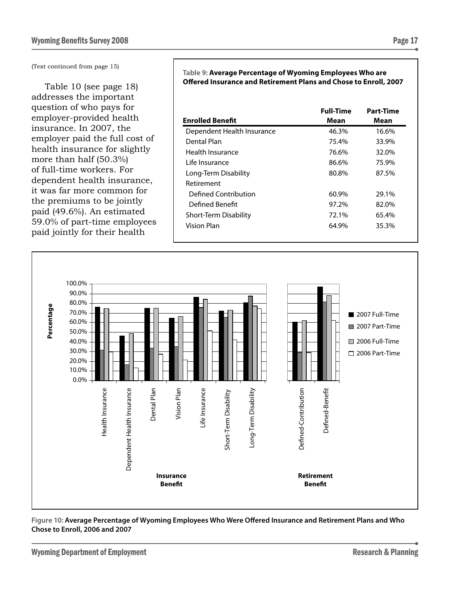(Text continued from page 15)

Table 10 (see page 18) addresses the important question of who pays for employer-provided health insurance. In 2007, the employer paid the full cost of health insurance for slightly more than half (50.3%) of full-time workers. For dependent health insurance, it was far more common for the premiums to be jointly paid (49.6%). An estimated 59.0% of part-time employees paid jointly for their health

**Table 9: Average Percentage of Wyoming Employees Who are Offered Insurance and Retirement Plans and Chose to Enroll, 2007**

|                              | <b>Full-Time</b> | <b>Part-Time</b> |
|------------------------------|------------------|------------------|
| <b>Enrolled Benefit</b>      | Mean             | Mean             |
| Dependent Health Insurance   | 46.3%            | 16.6%            |
| Dental Plan                  | 75.4%            | 33.9%            |
| Health Insurance             | 76.6%            | 32.0%            |
| Life Insurance               | 86.6%            | 75.9%            |
| Long-Term Disability         | 80.8%            | 87.5%            |
| Retirement                   |                  |                  |
| Defined Contribution         | 60.9%            | 29.1%            |
| Defined Benefit              | 97.2%            | 82.0%            |
| <b>Short-Term Disability</b> | 72.1%            | 65.4%            |
| Vision Plan                  | 64.9%            | 35.3%            |
|                              |                  |                  |



#### **Figure 10: Average Percentage of Wyoming Employees Who Were Offered Insurance and Retirement Plans and Who Chose to Enroll, 2006 and 2007**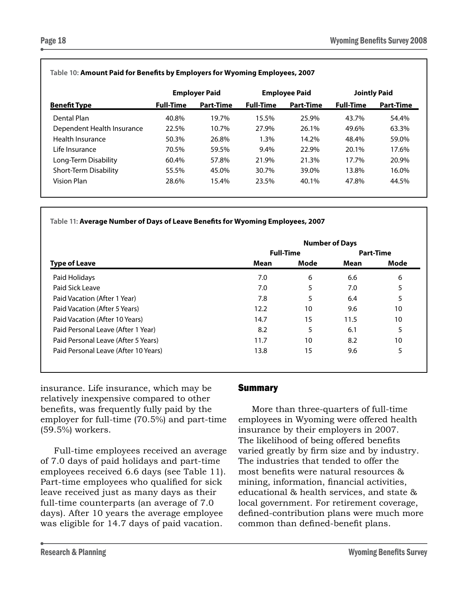|                            | <b>Employer Paid</b> |                  | <b>Employee Paid</b> |                  | <b>Jointly Paid</b> |                  |
|----------------------------|----------------------|------------------|----------------------|------------------|---------------------|------------------|
| <b>Benefit Type</b>        | <b>Full-Time</b>     | <b>Part-Time</b> | <b>Full-Time</b>     | <b>Part-Time</b> | <b>Full-Time</b>    | <b>Part-Time</b> |
| Dental Plan                | 40.8%                | 19.7%            | 15.5%                | 25.9%            | 43.7%               | 54.4%            |
| Dependent Health Insurance | 22.5%                | 10.7%            | 27.9%                | 26.1%            | 49.6%               | 63.3%            |
| Health Insurance           | 50.3%                | 26.8%            | $1.3\%$              | 14.2%            | 48.4%               | 59.0%            |
| l ife Insurance            | 70.5%                | 59.5%            | $9.4\%$              | 22.9%            | 20.1%               | 17.6%            |
| Long-Term Disability       | 60.4%                | 57.8%            | 21.9%                | 21.3%            | 17.7%               | 20.9%            |
| Short-Term Disability      | 55.5%                | 45.0%            | 30.7%                | 39.0%            | 13.8%               | 16.0%            |
| <b>Vision Plan</b>         | 28.6%                | 15.4%            | 23.5%                | 40.1%            | 47.8%               | 44.5%            |
|                            |                      |                  |                      |                  |                     |                  |

#### **Table 10: Amount Paid for Benefits by Employers for Wyoming Employees, 2007**

**Table 11: Average Number of Days of Leave Benefits for Wyoming Employees, 2007**

|                                      | <b>Number of Days</b> |                  |      |      |  |
|--------------------------------------|-----------------------|------------------|------|------|--|
|                                      | <b>Full-Time</b>      | <b>Part-Time</b> |      |      |  |
| <b>Type of Leave</b>                 | Mean                  | Mode             | Mean | Mode |  |
| Paid Holidays                        | 7.0                   | 6                | 6.6  | 6    |  |
| Paid Sick Leave                      | 7.0                   | 5                | 7.0  | 5    |  |
| Paid Vacation (After 1 Year)         | 7.8                   | 5                | 6.4  | 5    |  |
| Paid Vacation (After 5 Years)        | 12.2                  | 10               | 9.6  | 10   |  |
| Paid Vacation (After 10 Years)       | 14.7                  | 15               | 11.5 | 10   |  |
| Paid Personal Leave (After 1 Year)   | 8.2                   | 5                | 6.1  | 5    |  |
| Paid Personal Leave (After 5 Years)  | 11.7                  | 10               | 8.2  | 10   |  |
| Paid Personal Leave (After 10 Years) | 13.8                  | 15               | 9.6  | 5    |  |

insurance. Life insurance, which may be relatively inexpensive compared to other benefits, was frequently fully paid by the employer for full-time (70.5%) and part-time (59.5%) workers.

Full-time employees received an average of 7.0 days of paid holidays and part-time employees received 6.6 days (see Table 11). Part-time employees who qualified for sick leave received just as many days as their full-time counterparts (an average of 7.0 days). After 10 years the average employee was eligible for 14.7 days of paid vacation.

## Summary

More than three-quarters of full-time employees in Wyoming were offered health insurance by their employers in 2007. The likelihood of being offered benefits varied greatly by firm size and by industry. The industries that tended to offer the most benefits were natural resources & mining, information, financial activities, educational & health services, and state & local government. For retirement coverage, defined-contribution plans were much more common than defined-benefit plans.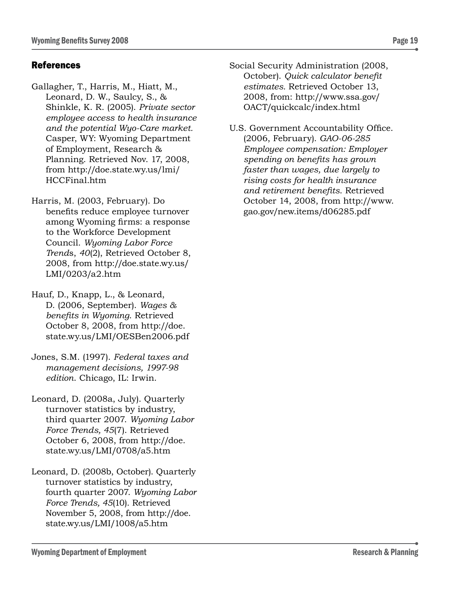## References

Gallagher, T., Harris, M., Hiatt, M., Leonard, D. W., Saulcy, S., & Shinkle, K. R. (2005). *Private sector employee access to health insurance and the potential Wyo-Care market.* Casper, WY: Wyoming Department of Employment, Research & Planning. Retrieved Nov. 17, 2008, from http://doe.state.wy.us/lmi/ HCCFinal.htm

Harris, M. (2003, February). Do benefits reduce employee turnover among Wyoming firms: a response to the Workforce Development Council. *Wyoming Labor Force Trend*s, *40*(2), Retrieved October 8, 2008, from http://doe.state.wy.us/ LMI/0203/a2.htm

Hauf, D., Knapp, L., & Leonard, D. (2006, September). *Wages & benefits in Wyoming*. Retrieved October 8, 2008, from http://doe. state.wy.us/LMI/OESBen2006.pdf

Jones, S.M. (1997). *Federal taxes and management decisions, 1997-98 edition*. Chicago, IL: Irwin.

Leonard, D. (2008a, July). Quarterly turnover statistics by industry, third quarter 2007. *Wyoming Labor Force Trends, 45*(7). Retrieved October 6, 2008, from http://doe. state.wy.us/LMI/0708/a5.htm

Leonard, D. (2008b, October). Quarterly turnover statistics by industry, fourth quarter 2007. *Wyoming Labor Force Trends, 45*(10). Retrieved November 5, 2008, from http://doe. state.wy.us/LMI/1008/a5.htm

Social Security Administration (2008, October). *Quick calculator benefit estimates.* Retrieved October 13, 2008, from: http://www.ssa.gov/ OACT/quickcalc/index.html

U.S. Government Accountability Office. (2006, February). *GAO-06-285 Employee compensation: Employer spending on benefits has grown faster than wages, due largely to rising costs for health insurance and retirement benefits*. Retrieved October 14, 2008, from http://www. gao.gov/new.items/d06285.pdf